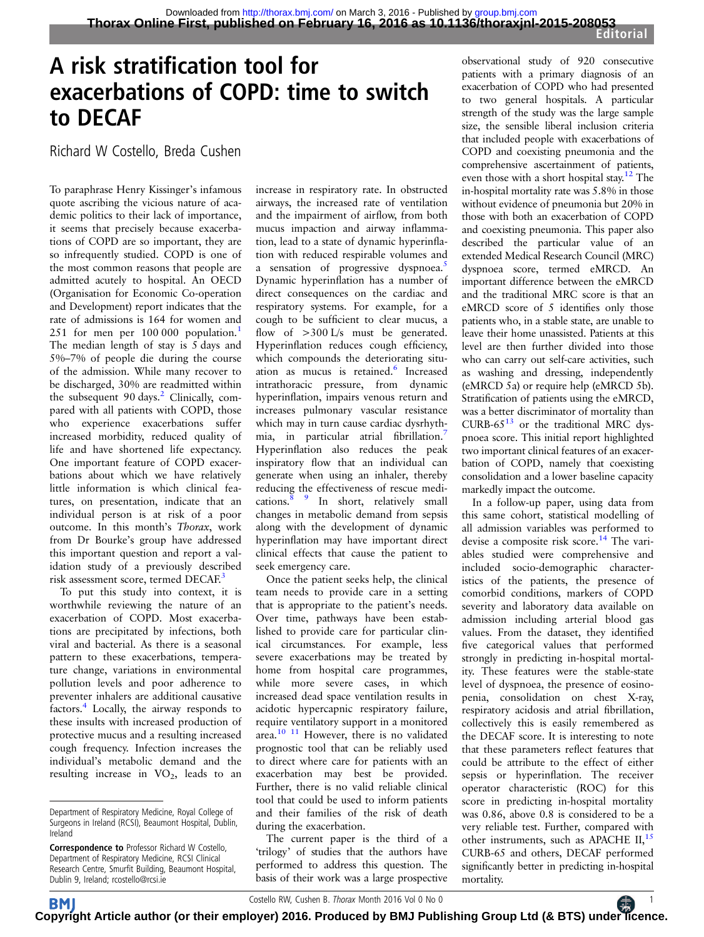# A risk stratification tool for exacerbations of COPD: time to switch to DECAF

Richard W Costello, Breda Cushen

To paraphrase Henry Kissinger's infamous quote ascribing the vicious nature of academic politics to their lack of importance, it seems that precisely because exacerbations of COPD are so important, they are so infrequently studied. COPD is one of the most common reasons that people are admitted acutely to hospital. An OECD (Organisation for Economic Co-operation and Development) report indicates that the rate of admissions is 164 for women and 25[1](#page-1-0) for men per 100 000 population.<sup>1</sup> The median length of stay is 5 days and 5%–7% of people die during the course of the admission. While many recover to be discharged, 30% are readmitted within the subsequent  $90 \text{ days}$ .<sup>[2](#page-1-0)</sup> Clinically, compared with all patients with COPD, those who experience exacerbations suffer increased morbidity, reduced quality of life and have shortened life expectancy. One important feature of COPD exacerbations about which we have relatively little information is which clinical features, on presentation, indicate that an individual person is at risk of a poor outcome. In this month's Thorax, work from Dr Bourke's group have addressed this important question and report a validation study of a previously described risk assessment score, termed DECAF.<sup>[3](#page-1-0)</sup>

To put this study into context, it is worthwhile reviewing the nature of an exacerbation of COPD. Most exacerbations are precipitated by infections, both viral and bacterial. As there is a seasonal pattern to these exacerbations, temperature change, variations in environmental pollution levels and poor adherence to preventer inhalers are additional causative factors.[4](#page-1-0) Locally, the airway responds to these insults with increased production of protective mucus and a resulting increased cough frequency. Infection increases the individual's metabolic demand and the resulting increase in  $VO<sub>2</sub>$ , leads to an

increase in respiratory rate. In obstructed airways, the increased rate of ventilation and the impairment of airflow, from both mucus impaction and airway inflammation, lead to a state of dynamic hyperinflation with reduced respirable volumes and a sensation of progressive dyspnoea.<sup>[5](#page-1-0)</sup> Dynamic hyperinflation has a number of direct consequences on the cardiac and respiratory systems. For example, for a cough to be sufficient to clear mucus, a flow of >300 L/s must be generated. Hyperinflation reduces cough efficiency, which compounds the deteriorating situ-ation as mucus is retained.<sup>[6](#page-1-0)</sup> Increased intrathoracic pressure, from dynamic hyperinflation, impairs venous return and increases pulmonary vascular resistance which may in turn cause cardiac dysrhyth-mia, in particular atrial fibrillation.<sup>[7](#page-1-0)</sup> Hyperinflation also reduces the peak inspiratory flow that an individual can generate when using an inhaler, thereby reducing the effectiveness of rescue medications.<sup>8</sup> <sup>9</sup> In short, relatively small changes in metabolic demand from sepsis along with the development of dynamic hyperinflation may have important direct clinical effects that cause the patient to seek emergency care.

Once the patient seeks help, the clinical team needs to provide care in a setting that is appropriate to the patient's needs. Over time, pathways have been established to provide care for particular clinical circumstances. For example, less severe exacerbations may be treated by home from hospital care programmes, while more severe cases, in which increased dead space ventilation results in acidotic hypercapnic respiratory failure, require ventilatory support in a monitored area[.10 11](#page-1-0) However, there is no validated prognostic tool that can be reliably used to direct where care for patients with an exacerbation may best be provided. Further, there is no valid reliable clinical tool that could be used to inform patients and their families of the risk of death during the exacerbation.

The current paper is the third of a 'trilogy' of studies that the authors have performed to address this question. The basis of their work was a large prospective observational study of 920 consecutive patients with a primary diagnosis of an exacerbation of COPD who had presented to two general hospitals. A particular strength of the study was the large sample size, the sensible liberal inclusion criteria that included people with exacerbations of COPD and coexisting pneumonia and the comprehensive ascertainment of patients, even those with a short hospital stay[.12](#page-1-0) The in-hospital mortality rate was 5.8% in those without evidence of pneumonia but 20% in those with both an exacerbation of COPD and coexisting pneumonia. This paper also described the particular value of an extended Medical Research Council (MRC) dyspnoea score, termed eMRCD. An important difference between the eMRCD and the traditional MRC score is that an eMRCD score of 5 identifies only those patients who, in a stable state, are unable to leave their home unassisted. Patients at this level are then further divided into those who can carry out self-care activities, such as washing and dressing, independently (eMRCD 5a) or require help (eMRCD 5b). Stratification of patients using the eMRCD, was a better discriminator of mortality than CURB-65 $13$  or the traditional MRC dyspnoea score. This initial report highlighted two important clinical features of an exacerbation of COPD, namely that coexisting consolidation and a lower baseline capacity markedly impact the outcome.

In a follow-up paper, using data from this same cohort, statistical modelling of all admission variables was performed to devise a composite risk score.<sup>[14](#page-1-0)</sup> The variables studied were comprehensive and included socio-demographic characteristics of the patients, the presence of comorbid conditions, markers of COPD severity and laboratory data available on admission including arterial blood gas values. From the dataset, they identified five categorical values that performed strongly in predicting in-hospital mortality. These features were the stable-state level of dyspnoea, the presence of eosinopenia, consolidation on chest X-ray, respiratory acidosis and atrial fibrillation, collectively this is easily remembered as the DECAF score. It is interesting to note that these parameters reflect features that could be attribute to the effect of either sepsis or hyperinflation. The receiver operator characteristic (ROC) for this score in predicting in-hospital mortality was 0.86, above 0.8 is considered to be a very reliable test. Further, compared with other instruments, such as APACHE  $II$ ,  $15$ CURB-65 and others, DECAF performed significantly better in predicting in-hospital mortality.

Department of Respiratory Medicine, Royal College of Surgeons in Ireland (RCSI), Beaumont Hospital, Dublin, Ireland

Correspondence to Professor Richard W Costello, Department of Respiratory Medicine, RCSI Clinical Research Centre, Smurfit Building, Beaumont Hospital, Dublin 9, Ireland; rcostello@rcsi.ie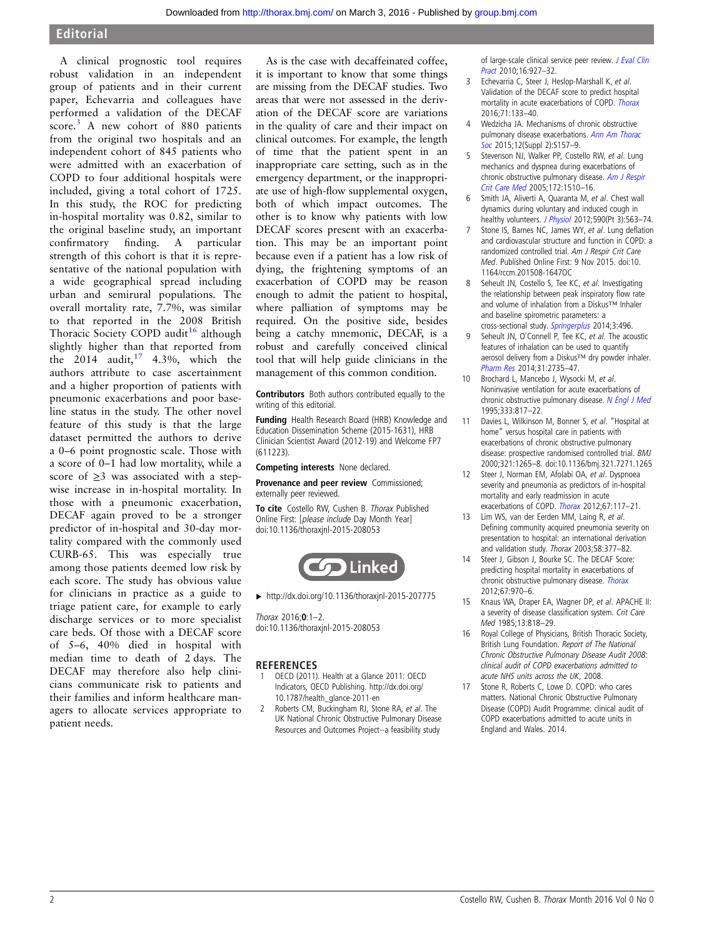## <span id="page-1-0"></span>Editorial

A clinical prognostic tool requires robust validation in an independent group of patients and in their current paper, Echevarria and colleagues have performed a validation of the DECAF score.<sup>3</sup> A new cohort of 880 patients from the original two hospitals and an independent cohort of 845 patients who were admitted with an exacerbation of COPD to four additional hospitals were included, giving a total cohort of 1725. In this study, the ROC for predicting in-hospital mortality was 0.82, similar to the original baseline study, an important confirmatory finding. A particular strength of this cohort is that it is representative of the national population with a wide geographical spread including urban and semirural populations. The overall mortality rate, 7.7%, was similar to that reported in the 2008 British Thoracic Society COPD audit<sup>16</sup> although slightly higher than that reported from the 2014 audit,  $17\quad 4.3\%$ , which the authors attribute to case ascertainment and a higher proportion of patients with pneumonic exacerbations and poor baseline status in the study. The other novel feature of this study is that the large dataset permitted the authors to derive a 0–6 point prognostic scale. Those with a score of 0–1 had low mortality, while a score of ≥3 was associated with a stepwise increase in in-hospital mortality. In those with a pneumonic exacerbation, DECAF again proved to be a stronger predictor of in-hospital and 30-day mortality compared with the commonly used CURB-65. This was especially true among those patients deemed low risk by each score. The study has obvious value for clinicians in practice as a guide to triage patient care, for example to early discharge services or to more specialist care beds. Of those with a DECAF score of 5–6, 40% died in hospital with median time to death of 2 days. The DECAF may therefore also help clinicians communicate risk to patients and their families and inform healthcare managers to allocate services appropriate to patient needs.

As is the case with decaffeinated coffee, it is important to know that some things are missing from the DECAF studies. Two areas that were not assessed in the derivation of the DECAF score are variations in the quality of care and their impact on clinical outcomes. For example, the length of time that the patient spent in an inappropriate care setting, such as in the emergency department, or the inappropriate use of high-flow supplemental oxygen, both of which impact outcomes. The other is to know why patients with low DECAF scores present with an exacerbation. This may be an important point because even if a patient has a low risk of dying, the frightening symptoms of an exacerbation of COPD may be reason enough to admit the patient to hospital, where palliation of symptoms may be required. On the positive side, besides being a catchy mnemonic, DECAF, is a robust and carefully conceived clinical tool that will help guide clinicians in the management of this common condition.

Contributors Both authors contributed equally to the writing of this editorial.

Funding Health Research Board (HRB) Knowledge and Education Dissemination Scheme (2015-1631), HRB Clinician Scientist Award (2012-19) and Welcome FP7 (611223).

Competing interests None declared.

Provenance and peer review Commissioned; externally peer reviewed.

To cite Costello RW, Cushen B. Thorax Published Online First: [please include Day Month Year] doi:10.1136/thoraxjnl-2015-208053



▸ <http://dx.doi.org/10.1136/thoraxjnl-2015-207775>

Thorax 2016;0:1–2. doi:10.1136/thoraxjnl-2015-208053

#### **REFERENCES**

- OECD (2011). Health at a Glance 2011: OECD Indicators, OECD Publishing. http://dx.doi.org/ 10.1787/health\_glance-2011-en
- 2 Roberts CM, Buckingham RJ, Stone RA, et al. The UK National Chronic Obstructive Pulmonary Disease Resources and Outcomes Project--a feasibility study

of large-scale clinical service peer review. [J Eval Clin](http://dx.doi.org/10.1111/j.1365-2753.2009.01224.x) [Pract](http://dx.doi.org/10.1111/j.1365-2753.2009.01224.x) 2010;16:927–32.

- 3 Echevarria C, Steer J, Heslop-Marshall K, et al. Validation of the DECAF score to predict hospital mortality in acute exacerbations of COPD. [Thorax](http://dx.doi.org/10.1136/thoraxjnl-2015-207775) 2016;71:133–40.
- 4 Wedzicha JA. Mechanisms of chronic obstructive pulmonary disease exacerbations. [Ann Am Thorac](http://dx.doi.org/10.1513/AnnalsATS.201507-427AW) [Soc](http://dx.doi.org/10.1513/AnnalsATS.201507-427AW) 2015;12(Suppl 2):S157–9.
- 5 Stevenson NJ, Walker PP, Costello RW, et al. Lung mechanics and dyspnea during exacerbations of chronic obstructive pulmonary disease. [Am J Respir](http://dx.doi.org/10.1164/rccm.200504-595OC) [Crit Care Med](http://dx.doi.org/10.1164/rccm.200504-595OC) 2005;172:1510–16.
- 6 Smith JA, Aliverti A, Quaranta M, et al. Chest wall dynamics during voluntary and induced cough in healthy volunteers. [J Physiol](http://dx.doi.org/10.1113/jphysiol.2011.213157) 2012;590(Pt 3):563-74.
- 7 Stone IS, Barnes NC, James WY, et al. Lung deflation and cardiovascular structure and function in COPD: a randomized controlled trial. Am J Respir Crit Care Med. Published Online First: 9 Nov 2015. [doi:10.](http://dx.doi.org/10.1164/rccm.201508-1647OC) [1164/rccm.201508-1647OC](http://dx.doi.org/10.1164/rccm.201508-1647OC)
- 8 Seheult JN, Costello S, Tee KC, et al. Investigating the relationship between peak inspiratory flow rate and volume of inhalation from a Diskus™ Inhaler and baseline spirometric parameters: a cross-sectional study. [Springerplus](http://dx.doi.org/10.1186/2193-1801-3-496) 2014;3:496.
- 9 Seheult JN, O'Connell P, Tee KC, et al. The acoustic features of inhalation can be used to quantify aerosol delivery from a Diskus™ dry powder inhaler. [Pharm Res](http://dx.doi.org/10.1007/s11095-014-1371-x) 2014;31:2735–47.
- 10 Brochard L, Mancebo J, Wysocki M, et al. Noninvasive ventilation for acute exacerbations of chronic obstructive pulmonary disease. [N Engl J Med](http://dx.doi.org/10.1056/NEJM199509283331301) 1995;333:817–22.
- 11 Davies L, Wilkinson M, Bonner S, et al. "Hospital at home" versus hospital care in patients with exacerbations of chronic obstructive pulmonary disease: prospective randomised controlled trial. BMJ 2000;321:1265–8. [doi:10.1136/bmj.321.7271.1265](http://dx.doi.org/10.1136/bmj.321.7271.1265)
- 12 Steer J, Norman EM, Afolabi OA, et al. Dyspnoea severity and pneumonia as predictors of in-hospital mortality and early readmission in acute exacerbations of COPD. [Thorax](http://dx.doi.org/10.1136/thoraxjnl-2011-200332) 2012;67:117–21.
- 13 Lim WS, van der Eerden MM, Laing R, et al. Defining community acquired pneumonia severity on presentation to hospital: an international derivation and validation study. Thorax 2003;58:377–82.
- 14 Steer J, Gibson J, Bourke SC. The DECAF Score: predicting hospital mortality in exacerbations of chronic obstructive pulmonary disease. [Thorax](http://dx.doi.org/10.1136/thoraxjnl-2012-202103) 2012;67:970–6.
- 15 Knaus WA, Draper EA, Wagner DP, et al. APACHE II: a severity of disease classification system. Crit Care Med 1985;13:818–29.
- Royal College of Physicians, British Thoracic Society, British Lung Foundation. Report of The National Chronic Obstructive Pulmonary Disease Audit 2008: clinical audit of COPD exacerbations admitted to acute NHS units across the UK, 2008.
- 17 Stone R, Roberts C, Lowe D. COPD: who cares matters. National Chronic Obstructive Pulmonary Disease (COPD) Audit Programme: clinical audit of COPD exacerbations admitted to acute units in England and Wales. 2014.